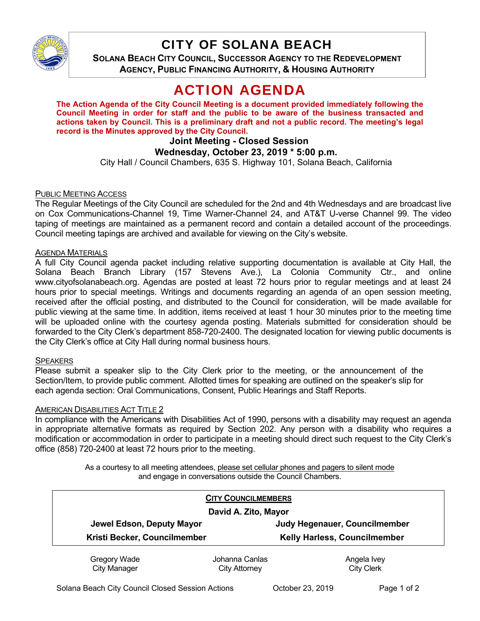

# CITY OF SOLANA BEACH

**SOLANA BEACH CITY COUNCIL, SUCCESSOR AGENCY TO THE REDEVELOPMENT AGENCY, PUBLIC FINANCING AUTHORITY, & HOUSING AUTHORITY** 

# ACTION AGENDA

**The Action Agenda of the City Council Meeting is a document provided immediately following the Council Meeting in order for staff and the public to be aware of the business transacted and actions taken by Council. This is a preliminary draft and not a public record. The meeting's legal record is the Minutes approved by the City Council.** 

#### **Joint Meeting - Closed Session Wednesday, October 23, 2019 \* 5:00 p.m.**

City Hall / Council Chambers, 635 S. Highway 101, Solana Beach, California

## PUBLIC MEETING ACCESS

The Regular Meetings of the City Council are scheduled for the 2nd and 4th Wednesdays and are broadcast live on Cox Communications-Channel 19, Time Warner-Channel 24, and AT&T U-verse Channel 99. The video taping of meetings are maintained as a permanent record and contain a detailed account of the proceedings. Council meeting tapings are archived and available for viewing on the City's website.

## **AGENDA MATERIALS**

A full City Council agenda packet including relative supporting documentation is available at City Hall, the Solana Beach Branch Library (157 Stevens Ave.), La Colonia Community Ctr., and online www.cityofsolanabeach.org. Agendas are posted at least 72 hours prior to regular meetings and at least 24 hours prior to special meetings. Writings and documents regarding an agenda of an open session meeting, received after the official posting, and distributed to the Council for consideration, will be made available for public viewing at the same time. In addition, items received at least 1 hour 30 minutes prior to the meeting time will be uploaded online with the courtesy agenda posting. Materials submitted for consideration should be forwarded to the City Clerk's department 858-720-2400. The designated location for viewing public documents is the City Clerk's office at City Hall during normal business hours.

#### **SPEAKERS**

Please submit a speaker slip to the City Clerk prior to the meeting, or the announcement of the Section/Item, to provide public comment. Allotted times for speaking are outlined on the speaker's slip for each agenda section: Oral Communications, Consent, Public Hearings and Staff Reports.

## **AMERICAN DISABILITIES ACT TITLE 2**

In compliance with the Americans with Disabilities Act of 1990, persons with a disability may request an agenda in appropriate alternative formats as required by Section 202. Any person with a disability who requires a modification or accommodation in order to participate in a meeting should direct such request to the City Clerk's office (858) 720-2400 at least 72 hours prior to the meeting.

> As a courtesy to all meeting attendees, please set cellular phones and pagers to silent mode and engage in conversations outside the Council Chambers.

| <b>CITY COUNCILMEMBERS</b>   |                |                                     |
|------------------------------|----------------|-------------------------------------|
| David A. Zito, Mayor         |                |                                     |
| Jewel Edson, Deputy Mayor    |                | Judy Hegenauer, Councilmember       |
| Kristi Becker, Councilmember |                | <b>Kelly Harless, Councilmember</b> |
| Gregory Wade                 | Iohanna Canlas | Angela Ivev                         |

Gregory Wade City Manager Johanna Canlas City Attorney

ngela Ivey City Clerk